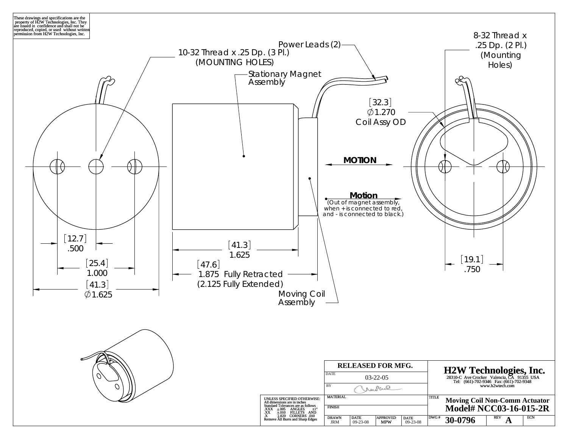